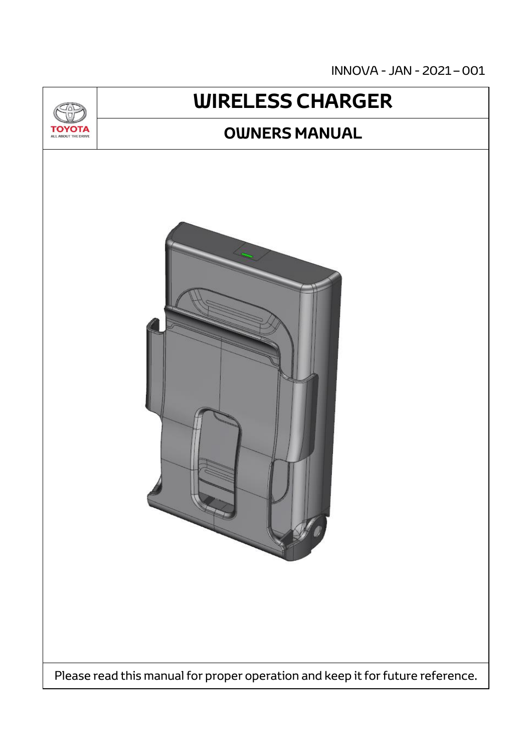INNOVA - JAN - 2021 – 001



# **WIRELESS CHARGER**

### **OWNERS MANUAL**



Please read this manual for proper operation and keep it for future reference.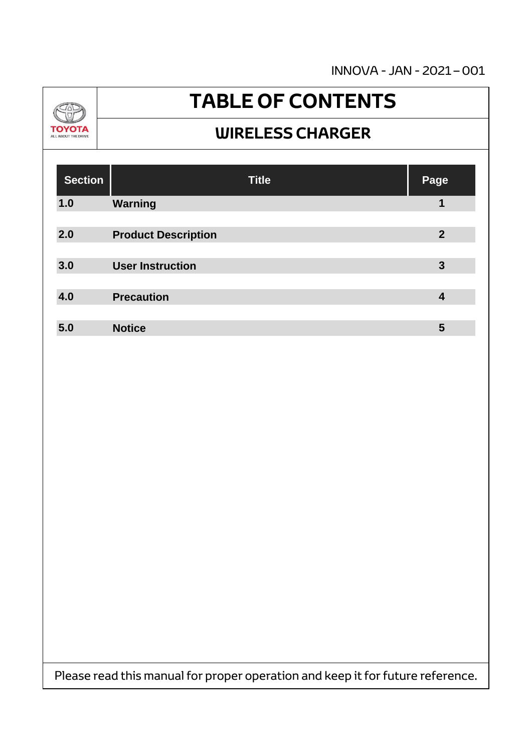INNOVA - JAN - 2021 – 001



# **TABLE OF CONTENTS**

#### **WIRELESS CHARGER**

| <b>Section</b> | <b>Title</b>               | Page           |
|----------------|----------------------------|----------------|
| 1.0            | <b>Warning</b>             | 1              |
| 2.0            | <b>Product Description</b> | $\overline{2}$ |
| 3.0            | <b>User Instruction</b>    | $\mathbf{3}$   |
| 4.0            | <b>Precaution</b>          | 4              |
| 5.0            | <b>Notice</b>              | 5              |

Please read this manual for proper operation and keep it for future reference.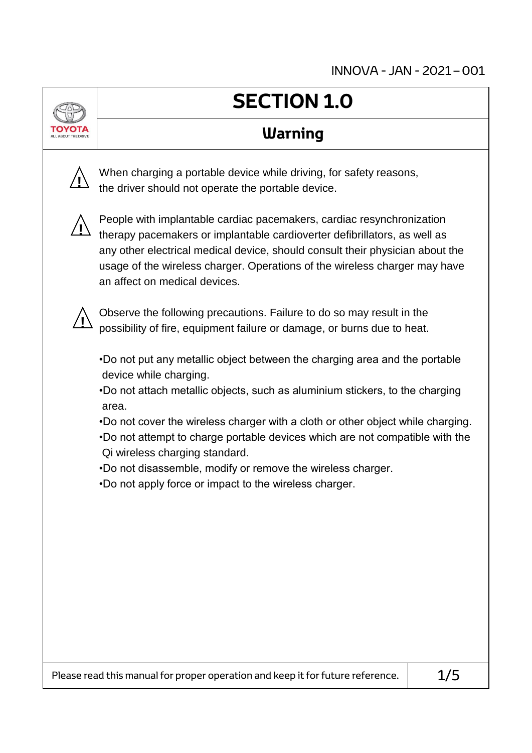## **SECTION 1.0**

#### **Warning**

When charging a portable device while driving, for safety reasons, the driver should not operate the portable device.



**!**

People with implantable cardiac pacemakers, cardiac resynchronization therapy pacemakers or implantable cardioverter defibrillators, as well as any other electrical medical device, should consult their physician about the usage of the wireless charger. Operations of the wireless charger may have an affect on medical devices.



Observe the following precautions. Failure to do so may result in the possibility of fire, equipment failure or damage, or burns due to heat.

•Do not put any metallic object between the charging area and the portable device while charging.

•Do not attach metallic objects, such as aluminium stickers, to the charging area.

•Do not cover the wireless charger with a cloth or other object while charging. •Do not attempt to charge portable devices which are not compatible with the Qi wireless charging standard.

•Do not disassemble, modify or remove the wireless charger.

•Do not apply force or impact to the wireless charger.

Please read this manual for proper operation and keep it for future reference.  $|$   $1/5$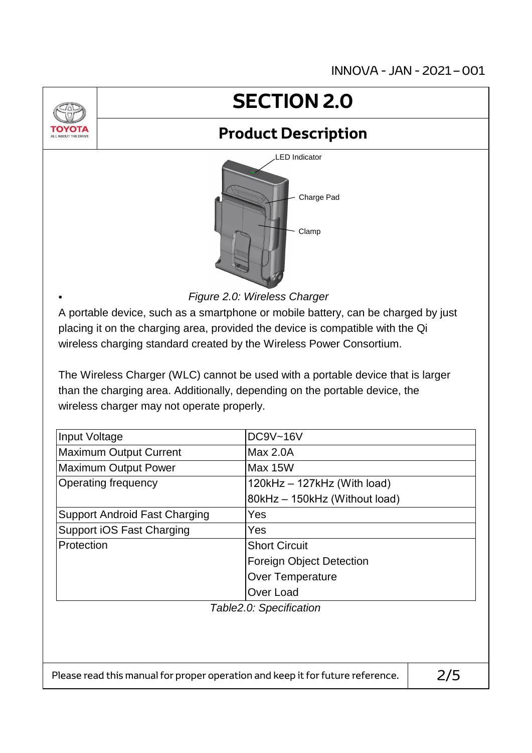

•

# **SECTION 2.0**

### **Product Description**



*Figure 2.0: Wireless Charger*

A portable device, such as a smartphone or mobile battery, can be charged by just placing it on the charging area, provided the device is compatible with the Qi wireless charging standard created by the Wireless Power Consortium.

The Wireless Charger (WLC) cannot be used with a portable device that is larger than the charging area. Additionally, depending on the portable device, the wireless charger may not operate properly.

| Input Voltage                                                                  | <b>DC9V~16V</b>                 |  |  |
|--------------------------------------------------------------------------------|---------------------------------|--|--|
| <b>Maximum Output Current</b>                                                  | Max 2.0A                        |  |  |
| <b>Maximum Output Power</b>                                                    | Max 15W                         |  |  |
| <b>Operating frequency</b>                                                     | 120kHz - 127kHz (With load)     |  |  |
|                                                                                | 80kHz - 150kHz (Without load)   |  |  |
| <b>Support Android Fast Charging</b>                                           | Yes                             |  |  |
| Support iOS Fast Charging                                                      | Yes                             |  |  |
| Protection                                                                     | <b>Short Circuit</b>            |  |  |
|                                                                                | <b>Foreign Object Detection</b> |  |  |
|                                                                                | <b>Over Temperature</b>         |  |  |
|                                                                                | Over Load                       |  |  |
|                                                                                | Table2.0: Specification         |  |  |
|                                                                                |                                 |  |  |
|                                                                                |                                 |  |  |
|                                                                                |                                 |  |  |
| Please read this manual for proper operation and keep it for future reference. | 275                             |  |  |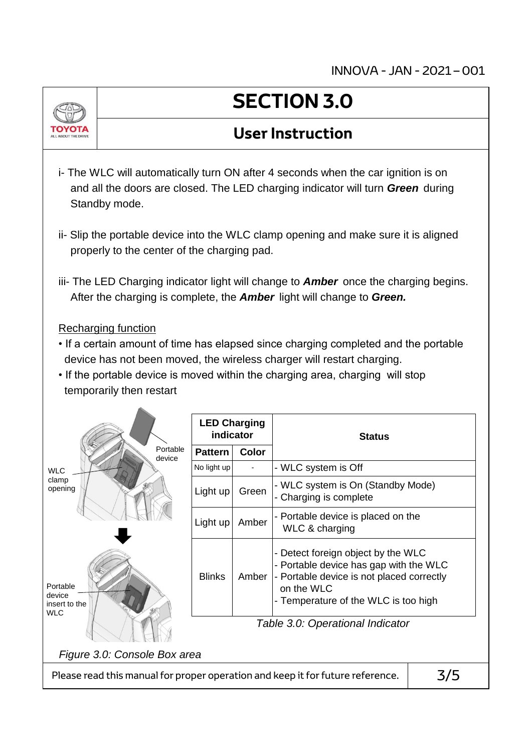INNOVA - JAN - 2021 – 001



#### **User Instruction**

- i- The WLC will automatically turn ON after 4 seconds when the car ignition is on and all the doors are closed. The LED charging indicator will turn *Green* during Standby mode.
- ii- Slip the portable device into the WLC clamp opening and make sure it is aligned properly to the center of the charging pad.
- iii- The LED Charging indicator light will change to *Amber* once the charging begins. After the charging is complete, the *Amber* light will change to *Green.*

#### Recharging function

- If a certain amount of time has elapsed since charging completed and the portable device has not been moved, the wireless charger will restart charging.
- If the portable device is moved within the charging area, charging will stop temporarily then restart

|                                                   | <b>LED Charging</b><br>indicator |              | <b>Status</b>                                                                                                                                                                   |  |  |  |
|---------------------------------------------------|----------------------------------|--------------|---------------------------------------------------------------------------------------------------------------------------------------------------------------------------------|--|--|--|
| Portable<br>device                                | <b>Pattern</b>                   | <b>Color</b> |                                                                                                                                                                                 |  |  |  |
| <b>WLC</b>                                        | No light up                      |              | - WLC system is Off                                                                                                                                                             |  |  |  |
| clamp<br>opening                                  | Light up                         | Green        | - WLC system is On (Standby Mode)<br>- Charging is complete                                                                                                                     |  |  |  |
|                                                   | Light up                         | Amber        | - Portable device is placed on the<br>WLC & charging                                                                                                                            |  |  |  |
| Portable<br>device<br>insert to the<br><b>WLC</b> | <b>Blinks</b>                    | Amber        | - Detect foreign object by the WLC<br>- Portable device has gap with the WLC<br>- Portable device is not placed correctly<br>on the WLC<br>- Temperature of the WLC is too high |  |  |  |
|                                                   | Table 3.0: Operational Indicator |              |                                                                                                                                                                                 |  |  |  |
| Figure 3.0: Console Box area                      |                                  |              |                                                                                                                                                                                 |  |  |  |

Please read this manual for proper operation and keep it for future reference.  $\vert$  3/5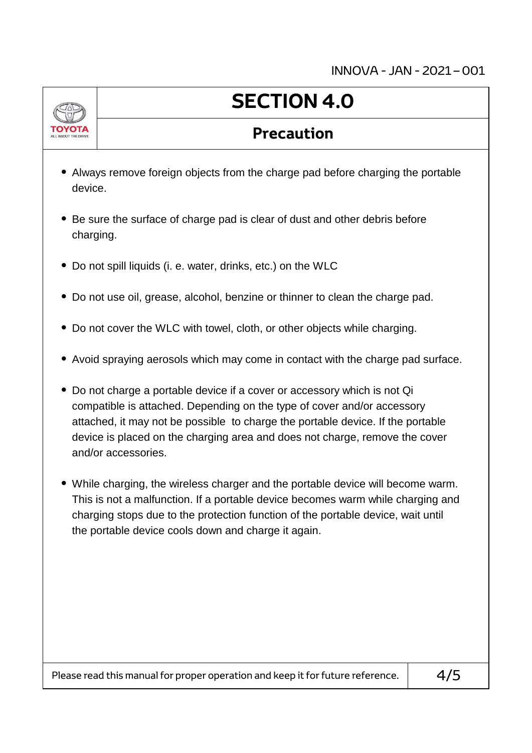

# **SECTION 4.0**

#### **Precaution**

- Always remove foreign objects from the charge pad before charging the portable device.
- Be sure the surface of charge pad is clear of dust and other debris before charging.
- Do not spill liquids (i. e. water, drinks, etc.) on the WLC
- Do not use oil, grease, alcohol, benzine or thinner to clean the charge pad.
- Do not cover the WLC with towel, cloth, or other objects while charging.
- Avoid spraying aerosols which may come in contact with the charge pad surface.
- Do not charge a portable device if a cover or accessory which is not Qi compatible is attached. Depending on the type of cover and/or accessory attached, it may not be possible to charge the portable device. If the portable device is placed on the charging area and does not charge, remove the cover and/or accessories.
- While charging, the wireless charger and the portable device will become warm. This is not a malfunction. If a portable device becomes warm while charging and charging stops due to the protection function of the portable device, wait until the portable device cools down and charge it again.

Please read this manual for proper operation and keep it for future reference.  $\vert$  4/5